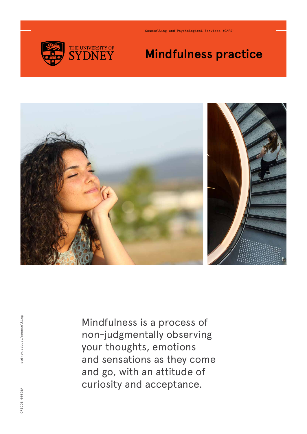

Counselling and Psychological Services (CAPS)

## **Mindfulness practice**



Mindfulness is a process of non-judgmentally observing your thoughts, emotions and sensations as they come and go, with an attitude of curiosity and acceptance.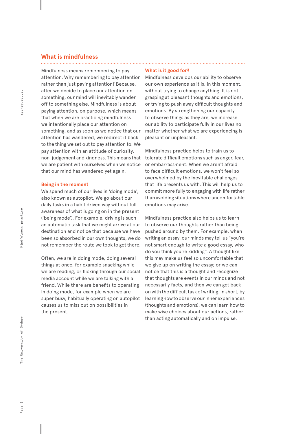#### **What is mindfulness**

Mindfulness means remembering to pay attention. Why remembering to pay attention rather than just paying attention? Because, after we decide to place our attention on something, our mind will inevitably wander off to something else. Mindfulness is about paying attention, on purpose, which means that when we are practicing mindfulness we intentionally place our attention on something, and as soon as we notice that our attention has wandered, we redirect it back to the thing we set out to pay attention to. We pay attention with an attitude of curiosity, non-judgement and kindness. This means that we are patient with ourselves when we notice that our mind has wandered yet again.

#### **Being in the moment**

We spend much of our lives in 'doing mode', also known as autopilot. We go about our daily tasks in a habit driven way without full awareness of what is going on in the present ('being mode'). For example, driving is such an automatic task that we might arrive at our destination and notice that because we have been so absorbed in our own thoughts, we do not remember the route we took to get there.

Often, we are in doing mode, doing several things at once, for example snacking while we are reading, or flicking through our social media account while we are talking with a friend. While there are benefits to operating in doing mode, for example when we are super busy, habitually operating on autopilot causes us to miss out on possibilities in the present.

#### **What is it good for?**

Mindfulness develops our ability to observe our own experience as it is, in this moment, without trying to change anything. It is not grasping at pleasant thoughts and emotions, or trying to push away difficult thoughts and emotions. By strengthening our capacity to observe things as they are, we increase our ability to participate fully in our lives no matter whether what we are experiencing is pleasant or unpleasant.

Mindfulness practice helps to train us to tolerate difficult emotions such as anger, fear, or embarrassment. When we aren't afraid to face difficult emotions, we won't feel so overwhelmed by the inevitable challenges that life presents us with. This will help us to commit more fully to engaging with life rather than avoiding situations where uncomfortable emotions may arise.

Mindfulness practice also helps us to learn to observe our thoughts rather than being pushed around by them. For example, when writing an essay, our minds may tell us "you're not smart enough to write a good essay, who do you think you're kidding". A thought like this may make us feel so uncomfortable that we give up on writing the essay; or we can notice that this is a thought and recognize that thoughts are events in our minds and not necessarily facts, and then we can get back on with the difficult task of writing. In short, by learning how to observe our inner experiences (thoughts and emotions), we can learn how to make wise choices about our actions, rather than acting automatically and on impulse.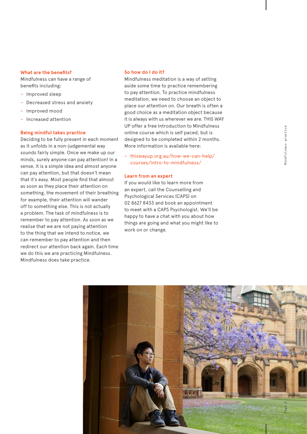# Aindfulness practice

#### **What are the benefits?**

Mindfulness can have a range of benefits including:

- − Improved sleep
- − Decreased stress and anxiety
- − Improved mood
- − Increased attention

#### **Being mindful takes practice**

Deciding to be fully present in each moment as it unfolds in a non-judgemental way sounds fairly simple. Once we make up our minds, surely anyone can pay attention! In a sense, it is a simple idea and almost anyone can pay attention, but that doesn't mean that it's easy. Most people find that almost as soon as they place their attention on something, the movement of their breathing for example, their attention will wander off to something else. This is not actually a problem. The task of mindfulness is to remember to pay attention. As soon as we realise that we are not paying attention to the thing that we intend to notice, we can remember to pay attention and then redirect our attention back again. Each time we do this we are practicing Mindfulness. Mindfulness does take practice.

#### **So how do I do it?**

Mindfulness meditation is a way of setting aside some time to practice remembering to pay attention. To practice mindfulness meditation, we need to choose an object to place our attention on. Our breath is often a good choice as a meditation object because it is always with us wherever we are. THIS WAY UP offer a free Introduction to Mindfulness online course which is self paced, but is designed to be completed within 2 months. More information is available here:

− thiswayup.org.au/how-we-can-help/ courses/intro-to-mindfulness/

#### **Learn from an expert**

If you would like to learn more from an expert, call the Counselling and Psychological Services (CAPS) on 02 8627 8433 and book an appointment to meet with a CAPS Psychologist. We'll be happy to have a chat with you about how things are going and what you might like to work on or change.

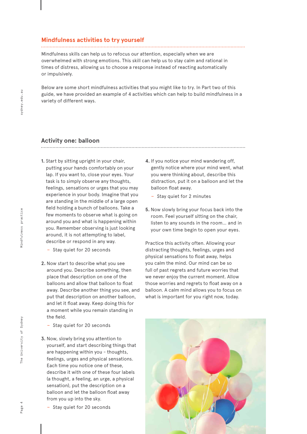#### **Mindfulness activities to try yourself**

Mindfulness skills can help us to refocus our attention, especially when we are overwhelmed with strong emotions. This skill can help us to stay calm and rational in times of distress, allowing us to choose a response instead of reacting automatically or impulsively.

Below are some short mindfulness activities that you might like to try. In Part two of this guide, we have provided an example of 4 activities which can help to build mindfulness in a variety of different ways.

#### **Activity one: balloon**

- **1.** Start by sitting upright in your chair, putting your hands comfortably on your lap. If you want to, close your eyes. Your task is to simply observe any thoughts, feelings, sensations or urges that you may experience in your body. Imagine that you are standing in the middle of a large open field holding a bunch of balloons. Take a few moments to observe what is going on around you and what is happening within you. Remember observing is just looking around, it is not attempting to label, describe or respond in any way.
	- − Stay quiet for 20 seconds
- **2.** Now start to describe what you see around you. Describe something, then place that description on one of the balloons and allow that balloon to float away. Describe another thing you see, and put that description on another balloon, and let it float away. Keep doing this for a moment while you remain standing in the field.
	- − Stay quiet for 20 seconds
- **3.** Now, slowly bring you attention to yourself, and start describing things that are happening within you - thoughts, feelings, urges and physical sensations. Each time you notice one of these, describe it with one of these four labels (a thought, a feeling, an urge, a physical sensation), put the description on a balloon and let the balloon float away from you up into the sky.
	- − Stay quiet for 20 seconds
- **4.** If you notice your mind wandering off, gently notice where your mind went, what you were thinking about, describe this distraction, put it on a balloon and let the balloon float away.
	- − Stay quiet for 2 minutes
- **5.** Now slowly bring your focus back into the room. Feel yourself sitting on the chair, listen to any sounds in the room… and in your own time begin to open your eyes.

Practice this activity often. Allowing your distracting thoughts, feelings, urges and physical sensations to float away, helps you calm the mind. Our mind can be so full of past regrets and future worries that we never enjoy the current moment. Allow those worries and regrets to float away on a balloon. A calm mind allows you to focus on what is important for you right now, today.

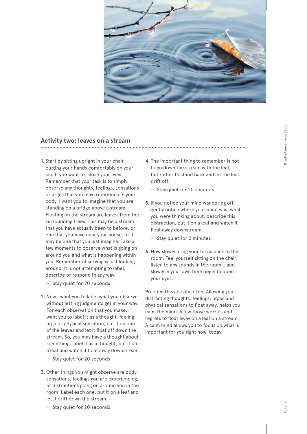

#### **Activity two: leaves on a stream**

- **1.** Start by sitting upright in your chair, putting your hands comfortably on your lap. If you want to, close your eyes. Remember that your task is to simply observe any thoughts, feelings, sensations or urges that you may experience in your body. I want you to imagine that you are standing on a bridge above a stream. Floating on the stream are leaves from the surrounding trees. This may be a stream that you have actually been to before, or one that you have near your house, or it may be one that you just imagine. Take a few moments to observe what is going on around you and what is happening within you. Remember observing is just looking around, it is not attempting to label, describe or respond in any way.
	- − Stay quiet for 20 seconds
- **2.** Now I want you to label what you observe without letting judgments get in your way. For each observation that you make, I want you to label it as a thought, feeling, urge or physical sensation, put it on one of the leaves and let it float off down the stream. So, you may have a thought about something, label it as a thought, put it on a leaf and watch it float away downstream.
	- − Stay quiet for 20 seconds
- **3.** Other things you might observe are body sensations, feelings you are experiencing, or distractions going on around you in the room. Label each one, put it on a leaf and let it drift down the stream. − Stay quiet for 20 seconds
- **4.** The important thing to remember is not to go down the stream with the leaf, but rather to stand back and let the leaf drift off.
	- − Stay quiet for 20 seconds
- **5.** If you notice your mind wandering off, gently notice where your mind was, what you were thinking about, describe this distraction, put it on a leaf and watch it float away downstream.
	- − Stay quiet for 2 minutes
- **6.** Now slowly bring your focus back to the room. Feel yourself sitting on the chair, listen to any sounds in the room… and slowly in your own time begin to open your eyes.

Practice this activity often. Allowing your distracting thoughts, feelings, urges and physical sensations to float away, helps you calm the mind. Allow those worries and regrets to float away on a leaf on a stream. A calm mind allows you to focus on what is important for you right now, today.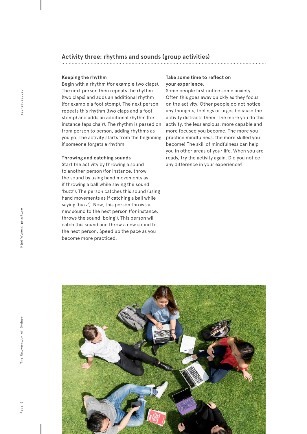#### **Activity three: rhythms and sounds (group activities)**

#### **Keeping the rhythm**

Begin with a rhythm (for example two claps). The next person then repeats the rhythm (two claps) and adds an additional rhythm (for example a foot stomp). The next person repeats this rhythm (two claps and a foot stomp) and adds an additional rhythm (for instance taps chair). The rhythm is passed on from person to person, adding rhythms as you go. The activity starts from the beginning if someone forgets a rhythm.

#### **Throwing and catching sounds**

Start the activity by throwing a sound to another person (for instance, throw the sound by using hand movements as if throwing a ball while saying the sound 'buzz'). The person catches this sound (using hand movements as if catching a ball while saying 'buzz'). Now, this person throws a new sound to the next person (for instance, throws the sound 'boing'). This person will catch this sound and throw a new sound to the next person. Speed up the pace as you become more practiced.

#### **Take some time to reflect on your experience.**

Some people first notice some anxiety. Often this goes away quickly as they focus on the activity. Other people do not notice any thoughts, feelings or urges because the activity distracts them. The more you do this activity, the less anxious, more capable and more focused you become. The more you practice mindfulness, the more skilled you become! The skill of mindfulness can help you in other areas of your life. When you are ready, try the activity again. Did you notice any difference in your experience?

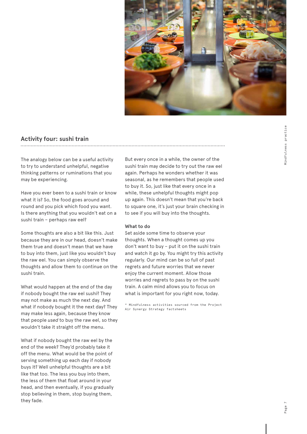

### **Activity four: sushi train**

The analogy below can be a useful activity to try to understand unhelpful, negative thinking patterns or ruminations that you may be experiencing.

Have you ever been to a sushi train or know what it is? So, the food goes around and round and you pick which food you want. Is there anything that you wouldn't eat on a sushi train – perhaps raw eel?

Some thoughts are also a bit like this. Just because they are in our head, doesn't make them true and doesn't mean that we have to buy into them, just like you wouldn't buy the raw eel. You can simply observe the thoughts and allow them to continue on the sushi train.

What would happen at the end of the day if nobody bought the raw eel sushi? They may not make as much the next day. And what if nobody bought it the next day? They may make less again, because they know that people *used* to buy the raw eel, so they wouldn't take it straight off the menu.

What if nobody bought the raw eel by the end of the week? They'd probably take it off the menu. What would be the point of serving something up each day if nobody buys it? Well unhelpful thoughts are a bit like that too. The less you buy into them, the less of them that float around in your head, and then eventually, if you gradually stop believing in them, stop buying them, they fade.

But every once in a while, the owner of the sushi train may decide to try out the raw eel again. Perhaps he wonders whether it was seasonal, as he remembers that people used to buy it. So, just like that every once in a while, these unhelpful thoughts might pop up again. This doesn't mean that you're back to square one, it's just your brain checking in to see if you will buy into the thoughts.

#### **What to do**

Set aside some time to observe your thoughts. When a thought comes up you don't want to buy – put it on the sushi train and watch it go by. You might try this activity regularly. Our mind can be so full of past regrets and future worries that we never enjoy the current moment. Allow those worries and regrets to pass by on the sushi train. A calm mind allows you to focus on what is important for you right now, today.

\* Mindfulness activities sourced from the Project Air Synergy Strategy factsheets